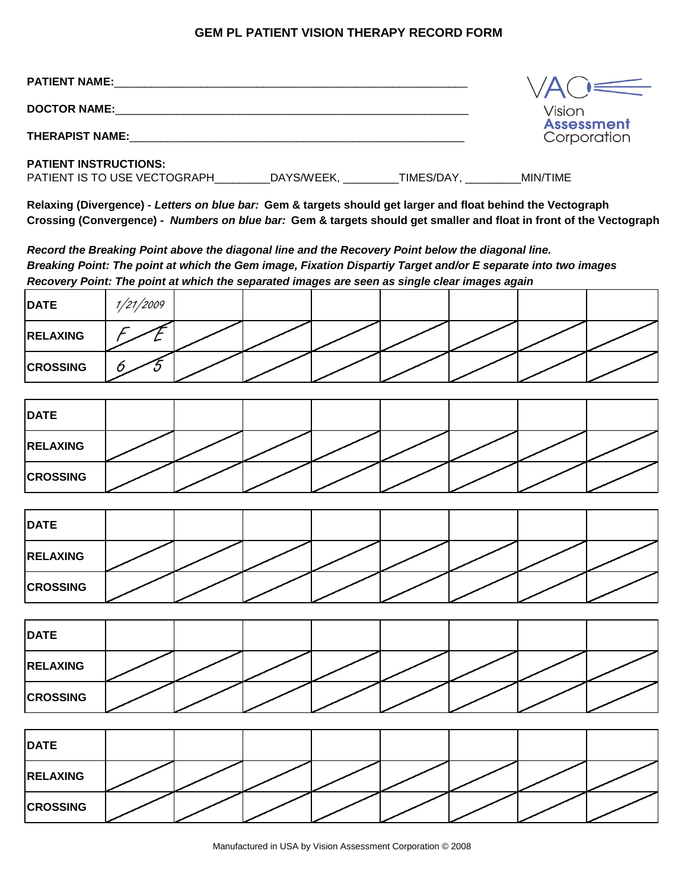## **GEM PL PATIENT VISION THERAPY RECORD FORM**

| <b>PATIENT NAME:</b>                                         |            |                  |                             |
|--------------------------------------------------------------|------------|------------------|-----------------------------|
| <b>DOCTOR NAME:</b>                                          |            |                  | Vision<br><b>Assessment</b> |
| <b>THERAPIST NAME:</b>                                       |            |                  | Corporation                 |
| <b>PATIENT INSTRUCTIONS:</b><br>PATIENT IS TO USE VECTOGRAPH | DAYS/WEEK, | <b>TIMES/DAY</b> | MIN/TIME                    |

**Relaxing (Divergence) -** *Letters on blue bar:* **Gem & targets should get larger and float behind the Vectograph Crossing (Convergence) -** *Numbers on blue bar:* **Gem & targets should get smaller and float in front of the Vectograph**

*Record the Breaking Point above the diagonal line and the Recovery Point below the diagonal line. Breaking Point: The point at which the Gem image, Fixation Dispartiy Target and/or E separate into two images Recovery Point: The point at which the separated images are seen as single clear images again*

| <b>DATE</b>     | /21/2009 |  |  |  |  |
|-----------------|----------|--|--|--|--|
| <b>RELAXING</b> |          |  |  |  |  |
| <b>CROSSING</b> |          |  |  |  |  |

| <b>DATE</b>     |  |  |  |  |
|-----------------|--|--|--|--|
| <b>RELAXING</b> |  |  |  |  |
| <b>CROSSING</b> |  |  |  |  |

| <b>DATE</b>     |  |  |  |  |
|-----------------|--|--|--|--|
| <b>RELAXING</b> |  |  |  |  |
| <b>CROSSING</b> |  |  |  |  |

| <b>DATE</b>     |  |  |  |  |
|-----------------|--|--|--|--|
| <b>RELAXING</b> |  |  |  |  |
| <b>CROSSING</b> |  |  |  |  |

| <b>DATE</b>     |  |  |  |  |
|-----------------|--|--|--|--|
| <b>RELAXING</b> |  |  |  |  |
| <b>CROSSING</b> |  |  |  |  |